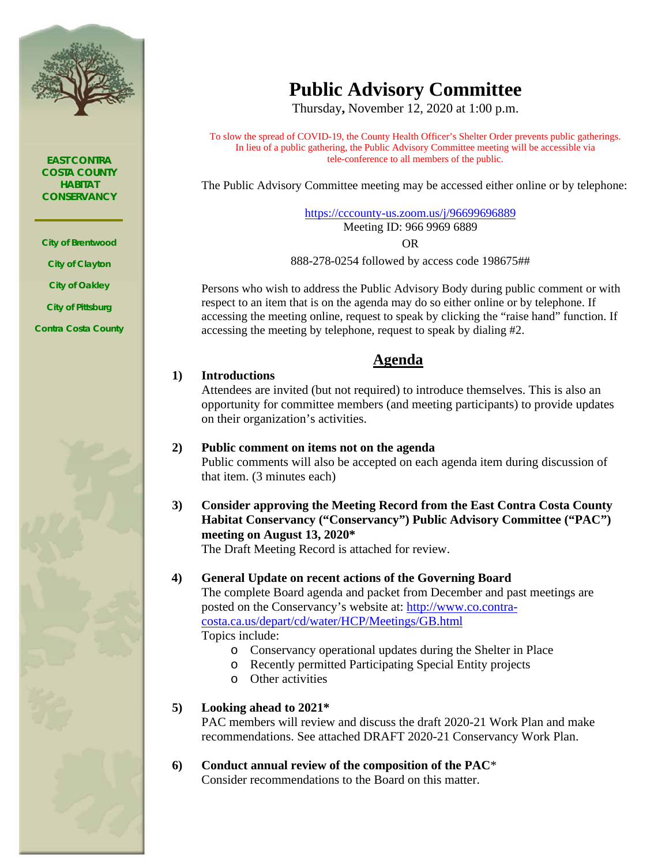

*EAST CONTRA COSTA COUNTY HABITAT CONSERVANCY*

*City of Brentwood City of Clayton City of Oakley City of Pittsburg Contra Costa County*



# **Public Advisory Committee**

Thursday**,** November 12, 2020 at 1:00 p.m.

To slow the spread of COVID-19, the County Health Officer's Shelter Order prevents public gatherings. In lieu of a public gathering, the Public Advisory Committee meeting will be accessible via tele-conference to all members of the public.

The Public Advisory Committee meeting may be accessed either online or by telephone:

<https://cccounty-us.zoom.us/j/96699696889> Meeting ID: 966 9969 6889

OR

888-278-0254 followed by access code 198675##

Persons who wish to address the Public Advisory Body during public comment or with respect to an item that is on the agenda may do so either online or by telephone. If accessing the meeting online, request to speak by clicking the "raise hand" function. If accessing the meeting by telephone, request to speak by dialing #2.

## **Agenda**

## **1) Introductions**

Attendees are invited (but not required) to introduce themselves. This is also an opportunity for committee members (and meeting participants) to provide updates on their organization's activities.

**2) Public comment on items not on the agenda**

Public comments will also be accepted on each agenda item during discussion of that item. (3 minutes each)

**3) Consider approving the Meeting Record from the East Contra Costa County Habitat Conservancy ("Conservancy") Public Advisory Committee ("PAC") meeting on August 13, 2020\***

The Draft Meeting Record is attached for review.

## **4) General Update on recent actions of the Governing Board**

The complete Board agenda and packet from December and past meetings are posted on the Conservancy's website at: [http://www.co.contra](http://www.co.contra-costa.ca.us/depart/cd/water/HCP/Meetings/GB.html)[costa.ca.us/depart/cd/water/HCP/Meetings/GB.html](http://www.co.contra-costa.ca.us/depart/cd/water/HCP/Meetings/GB.html)

Topics include:

- o Conservancy operational updates during the Shelter in Place
- o Recently permitted Participating Special Entity projects
- o Other activities

## **5) Looking ahead to 2021\***

PAC members will review and discuss the draft 2020-21 Work Plan and make recommendations. See attached DRAFT 2020-21 Conservancy Work Plan.

### **6) Conduct annual review of the composition of the PAC**\* Consider recommendations to the Board on this matter.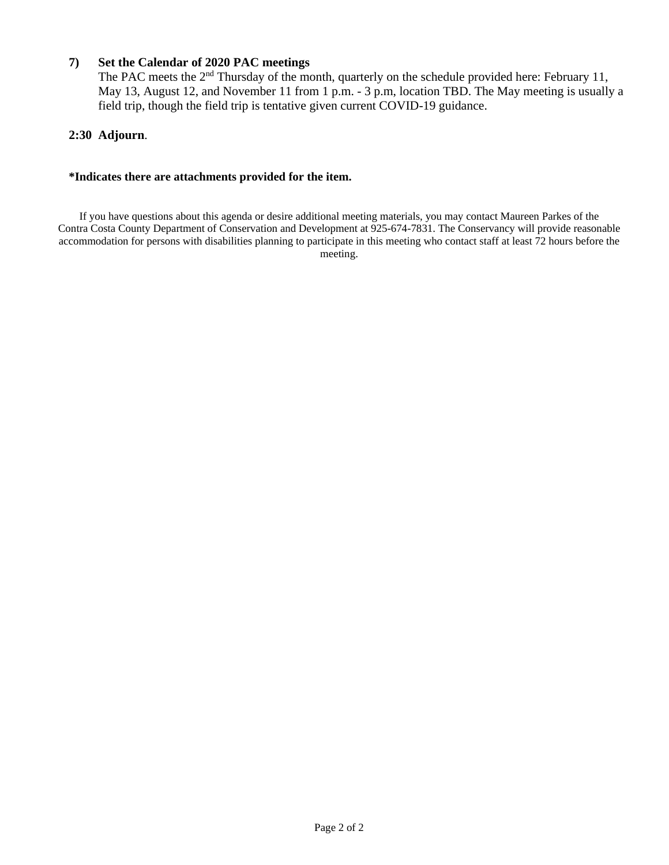## **7) Set the Calendar of 2020 PAC meetings**

The PAC meets the 2<sup>nd</sup> Thursday of the month, quarterly on the schedule provided here: February 11, May 13, August 12, and November 11 from 1 p.m. - 3 p.m, location TBD. The May meeting is usually a field trip, though the field trip is tentative given current COVID-19 guidance.

### **2:30 Adjourn**.

### **\*Indicates there are attachments provided for the item.**

If you have questions about this agenda or desire additional meeting materials, you may contact Maureen Parkes of the Contra Costa County Department of Conservation and Development at 925-674-7831. The Conservancy will provide reasonable accommodation for persons with disabilities planning to participate in this meeting who contact staff at least 72 hours before the meeting.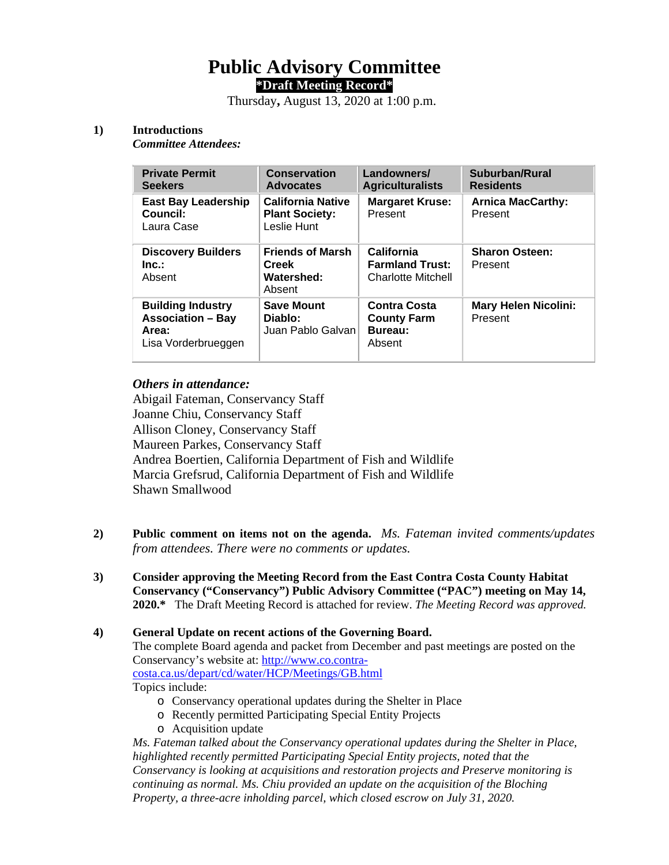## **Public Advisory Committee \*Draft Meeting Record\***

Thursday**,** August 13, 2020 at 1:00 p.m.

### **1) Introductions**

*Committee Attendees:* 

| <b>Private Permit</b><br><b>Seekers</b>                                              | <b>Conservation</b><br><b>Advocates</b>                          | Landowners/<br><b>Agriculturalists</b>                            | Suburban/Rural<br><b>Residents</b>     |
|--------------------------------------------------------------------------------------|------------------------------------------------------------------|-------------------------------------------------------------------|----------------------------------------|
| <b>East Bay Leadership</b><br>Council:<br>Laura Case                                 | <b>California Native</b><br><b>Plant Society:</b><br>Leslie Hunt | <b>Margaret Kruse:</b><br>Present                                 | <b>Arnica MacCarthy:</b><br>Present    |
| <b>Discovery Builders</b><br>Inc.<br>Absent                                          | <b>Friends of Marsh</b><br><b>Creek</b><br>Watershed:<br>Absent  | California<br><b>Farmland Trust:</b><br><b>Charlotte Mitchell</b> | <b>Sharon Osteen:</b><br>Present       |
| <b>Building Industry</b><br><b>Association – Bay</b><br>Area:<br>Lisa Vorderbrueggen | <b>Save Mount</b><br>Diablo:<br>Juan Pablo Galvan                | <b>Contra Costa</b><br><b>County Farm</b><br>Bureau:<br>Absent    | <b>Mary Helen Nicolini:</b><br>Present |

## *Others in attendance:*

Abigail Fateman, Conservancy Staff Joanne Chiu, Conservancy Staff Allison Cloney, Conservancy Staff Maureen Parkes, Conservancy Staff Andrea Boertien, California Department of Fish and Wildlife Marcia Grefsrud, California Department of Fish and Wildlife Shawn Smallwood

- **2) Public comment on items not on the agenda.** *Ms. Fateman invited comments/updates from attendees. There were no comments or updates.*
- **3) Consider approving the Meeting Record from the East Contra Costa County Habitat Conservancy ("Conservancy") Public Advisory Committee ("PAC") meeting on May 14, 2020.\*** The Draft Meeting Record is attached for review. *The Meeting Record was approved.*

## **4) General Update on recent actions of the Governing Board.** The complete Board agenda and packet from December and past meetings are posted on the Conservancy's website at: [http://www.co.contra](http://www.co.contra-costa.ca.us/depart/cd/water/HCP/Meetings/GB.html)[costa.ca.us/depart/cd/water/HCP/Meetings/GB.html](http://www.co.contra-costa.ca.us/depart/cd/water/HCP/Meetings/GB.html) Topics include:

- o Conservancy operational updates during the Shelter in Place
- o Recently permitted Participating Special Entity Projects
- o Acquisition update

*Ms. Fateman talked about the Conservancy operational updates during the Shelter in Place, highlighted recently permitted Participating Special Entity projects, noted that the Conservancy is looking at acquisitions and restoration projects and Preserve monitoring is continuing as normal. Ms. Chiu provided an update on the acquisition of the Bloching Property, a three-acre inholding parcel, which closed escrow on July 31, 2020.*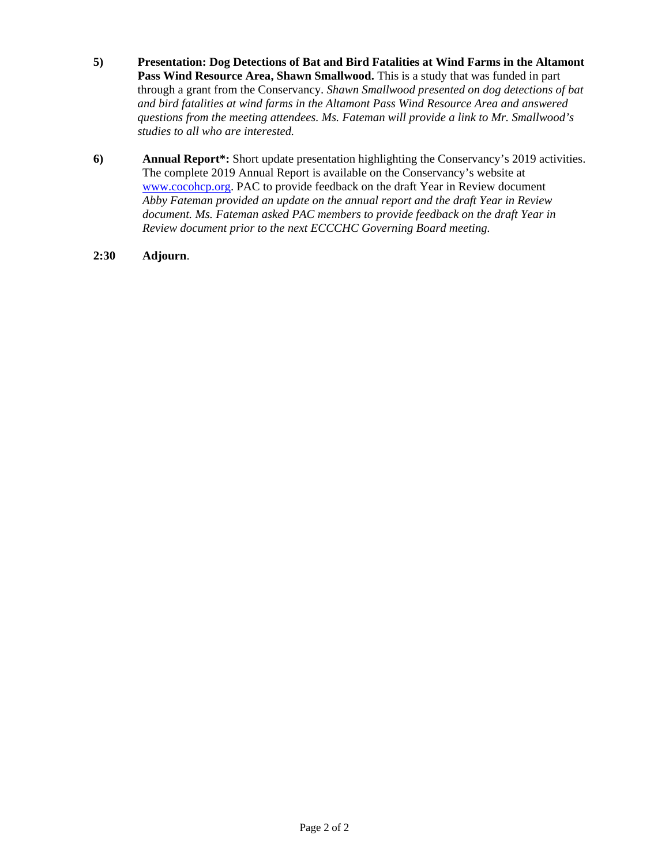- **5) Presentation: Dog Detections of Bat and Bird Fatalities at Wind Farms in the Altamont Pass Wind Resource Area, Shawn Smallwood.** This is a study that was funded in part through a grant from the Conservancy. *Shawn Smallwood presented on dog detections of bat and bird fatalities at wind farms in the Altamont Pass Wind Resource Area and answered questions from the meeting attendees. Ms. Fateman will provide a link to Mr. Smallwood's studies to all who are interested.*
- **6) Annual Report\*:** Short update presentation highlighting the Conservancy's 2019 activities. The complete 2019 Annual Report is available on the Conservancy's website at [www.cocohcp.org.](http://www.cocohcp.org/) PAC to provide feedback on the draft Year in Review document *Abby Fateman provided an update on the annual report and the draft Year in Review document. Ms. Fateman asked PAC members to provide feedback on the draft Year in Review document prior to the next ECCCHC Governing Board meeting.*
- **2:30 Adjourn**.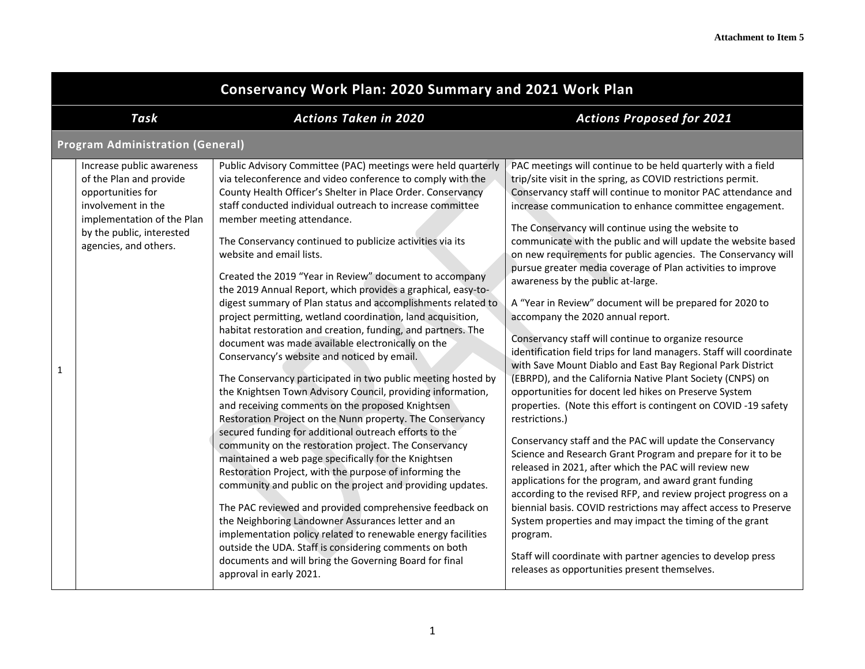|              | <b>Conservancy Work Plan: 2020 Summary and 2021 Work Plan</b>                                                                                                                       |                                                                                                                                                                                                                                                                                                                                                                                                                                                                                                                                                                                                                                                                                                                                                                                                                                                                                                                                                                                                                                                                                                                                                                                                                                                                                                                                                                                                                                                                                                                                                                                                                                                                                                |                                                                                                                                                                                                                                                                                                                                                                                                                                                                                                                                                                                                                                                                                                                                                                                                                                                                                                                                                                                                                                                                                                                                                                                                                                                                                                                                                                                                                                                                                                                                                                                                                                            |  |
|--------------|-------------------------------------------------------------------------------------------------------------------------------------------------------------------------------------|------------------------------------------------------------------------------------------------------------------------------------------------------------------------------------------------------------------------------------------------------------------------------------------------------------------------------------------------------------------------------------------------------------------------------------------------------------------------------------------------------------------------------------------------------------------------------------------------------------------------------------------------------------------------------------------------------------------------------------------------------------------------------------------------------------------------------------------------------------------------------------------------------------------------------------------------------------------------------------------------------------------------------------------------------------------------------------------------------------------------------------------------------------------------------------------------------------------------------------------------------------------------------------------------------------------------------------------------------------------------------------------------------------------------------------------------------------------------------------------------------------------------------------------------------------------------------------------------------------------------------------------------------------------------------------------------|--------------------------------------------------------------------------------------------------------------------------------------------------------------------------------------------------------------------------------------------------------------------------------------------------------------------------------------------------------------------------------------------------------------------------------------------------------------------------------------------------------------------------------------------------------------------------------------------------------------------------------------------------------------------------------------------------------------------------------------------------------------------------------------------------------------------------------------------------------------------------------------------------------------------------------------------------------------------------------------------------------------------------------------------------------------------------------------------------------------------------------------------------------------------------------------------------------------------------------------------------------------------------------------------------------------------------------------------------------------------------------------------------------------------------------------------------------------------------------------------------------------------------------------------------------------------------------------------------------------------------------------------|--|
|              | Task                                                                                                                                                                                | <b>Actions Taken in 2020</b>                                                                                                                                                                                                                                                                                                                                                                                                                                                                                                                                                                                                                                                                                                                                                                                                                                                                                                                                                                                                                                                                                                                                                                                                                                                                                                                                                                                                                                                                                                                                                                                                                                                                   | <b>Actions Proposed for 2021</b>                                                                                                                                                                                                                                                                                                                                                                                                                                                                                                                                                                                                                                                                                                                                                                                                                                                                                                                                                                                                                                                                                                                                                                                                                                                                                                                                                                                                                                                                                                                                                                                                           |  |
|              | <b>Program Administration (General)</b>                                                                                                                                             |                                                                                                                                                                                                                                                                                                                                                                                                                                                                                                                                                                                                                                                                                                                                                                                                                                                                                                                                                                                                                                                                                                                                                                                                                                                                                                                                                                                                                                                                                                                                                                                                                                                                                                |                                                                                                                                                                                                                                                                                                                                                                                                                                                                                                                                                                                                                                                                                                                                                                                                                                                                                                                                                                                                                                                                                                                                                                                                                                                                                                                                                                                                                                                                                                                                                                                                                                            |  |
| $\mathbf{1}$ | Increase public awareness<br>of the Plan and provide<br>opportunities for<br>involvement in the<br>implementation of the Plan<br>by the public, interested<br>agencies, and others. | Public Advisory Committee (PAC) meetings were held quarterly<br>via teleconference and video conference to comply with the<br>County Health Officer's Shelter in Place Order. Conservancy<br>staff conducted individual outreach to increase committee<br>member meeting attendance.<br>The Conservancy continued to publicize activities via its<br>website and email lists.<br>Created the 2019 "Year in Review" document to accompany<br>the 2019 Annual Report, which provides a graphical, easy-to-<br>digest summary of Plan status and accomplishments related to<br>project permitting, wetland coordination, land acquisition,<br>habitat restoration and creation, funding, and partners. The<br>document was made available electronically on the<br>Conservancy's website and noticed by email.<br>The Conservancy participated in two public meeting hosted by<br>the Knightsen Town Advisory Council, providing information,<br>and receiving comments on the proposed Knightsen<br>Restoration Project on the Nunn property. The Conservancy<br>secured funding for additional outreach efforts to the<br>community on the restoration project. The Conservancy<br>maintained a web page specifically for the Knightsen<br>Restoration Project, with the purpose of informing the<br>community and public on the project and providing updates.<br>The PAC reviewed and provided comprehensive feedback on<br>the Neighboring Landowner Assurances letter and an<br>implementation policy related to renewable energy facilities<br>outside the UDA. Staff is considering comments on both<br>documents and will bring the Governing Board for final<br>approval in early 2021. | PAC meetings will continue to be held quarterly with a field<br>trip/site visit in the spring, as COVID restrictions permit.<br>Conservancy staff will continue to monitor PAC attendance and<br>increase communication to enhance committee engagement.<br>The Conservancy will continue using the website to<br>communicate with the public and will update the website based<br>on new requirements for public agencies. The Conservancy will<br>pursue greater media coverage of Plan activities to improve<br>awareness by the public at-large.<br>A "Year in Review" document will be prepared for 2020 to<br>accompany the 2020 annual report.<br>Conservancy staff will continue to organize resource<br>identification field trips for land managers. Staff will coordinate<br>with Save Mount Diablo and East Bay Regional Park District<br>(EBRPD), and the California Native Plant Society (CNPS) on<br>opportunities for docent led hikes on Preserve System<br>properties. (Note this effort is contingent on COVID-19 safety<br>restrictions.)<br>Conservancy staff and the PAC will update the Conservancy<br>Science and Research Grant Program and prepare for it to be<br>released in 2021, after which the PAC will review new<br>applications for the program, and award grant funding<br>according to the revised RFP, and review project progress on a<br>biennial basis. COVID restrictions may affect access to Preserve<br>System properties and may impact the timing of the grant<br>program.<br>Staff will coordinate with partner agencies to develop press<br>releases as opportunities present themselves. |  |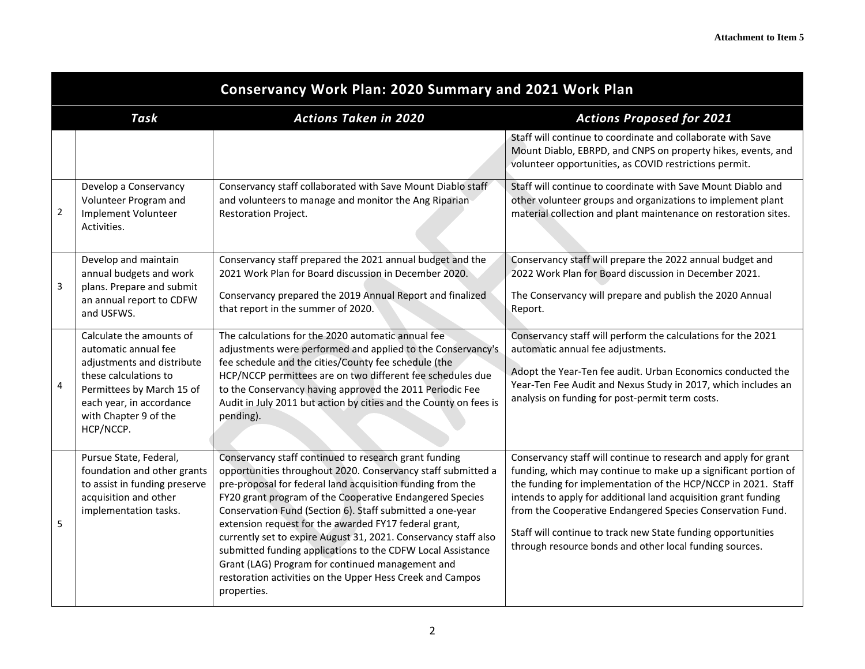|              | <b>Conservancy Work Plan: 2020 Summary and 2021 Work Plan</b>                                                                                                                                          |                                                                                                                                                                                                                                                                                                                                                                                                                                                                                                                                                                                                                                         |                                                                                                                                                                                                                                                                                                                                                                                                                                                                |  |  |
|--------------|--------------------------------------------------------------------------------------------------------------------------------------------------------------------------------------------------------|-----------------------------------------------------------------------------------------------------------------------------------------------------------------------------------------------------------------------------------------------------------------------------------------------------------------------------------------------------------------------------------------------------------------------------------------------------------------------------------------------------------------------------------------------------------------------------------------------------------------------------------------|----------------------------------------------------------------------------------------------------------------------------------------------------------------------------------------------------------------------------------------------------------------------------------------------------------------------------------------------------------------------------------------------------------------------------------------------------------------|--|--|
|              | <b>Actions Taken in 2020</b><br>Task<br><b>Actions Proposed for 2021</b>                                                                                                                               |                                                                                                                                                                                                                                                                                                                                                                                                                                                                                                                                                                                                                                         |                                                                                                                                                                                                                                                                                                                                                                                                                                                                |  |  |
|              |                                                                                                                                                                                                        |                                                                                                                                                                                                                                                                                                                                                                                                                                                                                                                                                                                                                                         | Staff will continue to coordinate and collaborate with Save<br>Mount Diablo, EBRPD, and CNPS on property hikes, events, and<br>volunteer opportunities, as COVID restrictions permit.                                                                                                                                                                                                                                                                          |  |  |
| $\mathbf{2}$ | Develop a Conservancy<br>Volunteer Program and<br>Implement Volunteer<br>Activities.                                                                                                                   | Conservancy staff collaborated with Save Mount Diablo staff<br>and volunteers to manage and monitor the Ang Riparian<br>Restoration Project.                                                                                                                                                                                                                                                                                                                                                                                                                                                                                            | Staff will continue to coordinate with Save Mount Diablo and<br>other volunteer groups and organizations to implement plant<br>material collection and plant maintenance on restoration sites.                                                                                                                                                                                                                                                                 |  |  |
| 3            | Develop and maintain<br>annual budgets and work<br>plans. Prepare and submit<br>an annual report to CDFW<br>and USFWS.                                                                                 | Conservancy staff prepared the 2021 annual budget and the<br>2021 Work Plan for Board discussion in December 2020.<br>Conservancy prepared the 2019 Annual Report and finalized<br>that report in the summer of 2020.                                                                                                                                                                                                                                                                                                                                                                                                                   | Conservancy staff will prepare the 2022 annual budget and<br>2022 Work Plan for Board discussion in December 2021.<br>The Conservancy will prepare and publish the 2020 Annual<br>Report.                                                                                                                                                                                                                                                                      |  |  |
| 4            | Calculate the amounts of<br>automatic annual fee<br>adjustments and distribute<br>these calculations to<br>Permittees by March 15 of<br>each year, in accordance<br>with Chapter 9 of the<br>HCP/NCCP. | The calculations for the 2020 automatic annual fee<br>adjustments were performed and applied to the Conservancy's<br>fee schedule and the cities/County fee schedule (the<br>HCP/NCCP permittees are on two different fee schedules due<br>to the Conservancy having approved the 2011 Periodic Fee<br>Audit in July 2011 but action by cities and the County on fees is<br>pending).                                                                                                                                                                                                                                                   | Conservancy staff will perform the calculations for the 2021<br>automatic annual fee adjustments.<br>Adopt the Year-Ten fee audit. Urban Economics conducted the<br>Year-Ten Fee Audit and Nexus Study in 2017, which includes an<br>analysis on funding for post-permit term costs.                                                                                                                                                                           |  |  |
| 5            | Pursue State, Federal,<br>foundation and other grants<br>to assist in funding preserve<br>acquisition and other<br>implementation tasks.                                                               | Conservancy staff continued to research grant funding<br>opportunities throughout 2020. Conservancy staff submitted a<br>pre-proposal for federal land acquisition funding from the<br>FY20 grant program of the Cooperative Endangered Species<br>Conservation Fund (Section 6). Staff submitted a one-year<br>extension request for the awarded FY17 federal grant,<br>currently set to expire August 31, 2021. Conservancy staff also<br>submitted funding applications to the CDFW Local Assistance<br>Grant (LAG) Program for continued management and<br>restoration activities on the Upper Hess Creek and Campos<br>properties. | Conservancy staff will continue to research and apply for grant<br>funding, which may continue to make up a significant portion of<br>the funding for implementation of the HCP/NCCP in 2021. Staff<br>intends to apply for additional land acquisition grant funding<br>from the Cooperative Endangered Species Conservation Fund.<br>Staff will continue to track new State funding opportunities<br>through resource bonds and other local funding sources. |  |  |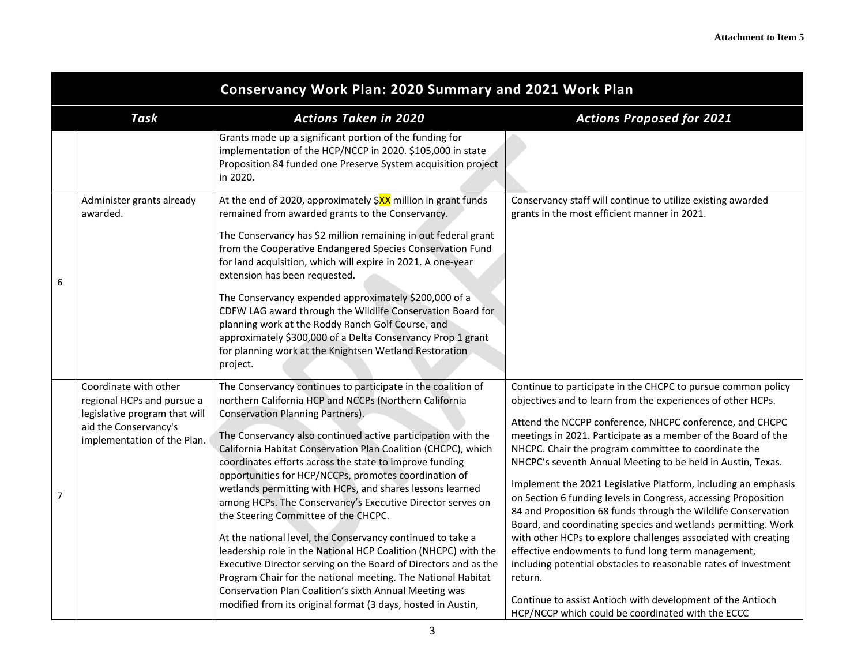|   | <b>Conservancy Work Plan: 2020 Summary and 2021 Work Plan</b>                                                                                |                                                                                                                                                                                                                                                                                                                                                                                                                                                                                                                                                                                                                                                                                                                                                                                                                                                                                                                                                                                 |                                                                                                                                                                                                                                                                                                                                                                                                                                                                                                                                                                                                                                                                                                                                                                                                                                                                                                                                                                                |  |
|---|----------------------------------------------------------------------------------------------------------------------------------------------|---------------------------------------------------------------------------------------------------------------------------------------------------------------------------------------------------------------------------------------------------------------------------------------------------------------------------------------------------------------------------------------------------------------------------------------------------------------------------------------------------------------------------------------------------------------------------------------------------------------------------------------------------------------------------------------------------------------------------------------------------------------------------------------------------------------------------------------------------------------------------------------------------------------------------------------------------------------------------------|--------------------------------------------------------------------------------------------------------------------------------------------------------------------------------------------------------------------------------------------------------------------------------------------------------------------------------------------------------------------------------------------------------------------------------------------------------------------------------------------------------------------------------------------------------------------------------------------------------------------------------------------------------------------------------------------------------------------------------------------------------------------------------------------------------------------------------------------------------------------------------------------------------------------------------------------------------------------------------|--|
|   | Task                                                                                                                                         | <b>Actions Taken in 2020</b>                                                                                                                                                                                                                                                                                                                                                                                                                                                                                                                                                                                                                                                                                                                                                                                                                                                                                                                                                    | <b>Actions Proposed for 2021</b>                                                                                                                                                                                                                                                                                                                                                                                                                                                                                                                                                                                                                                                                                                                                                                                                                                                                                                                                               |  |
|   |                                                                                                                                              | Grants made up a significant portion of the funding for<br>implementation of the HCP/NCCP in 2020. \$105,000 in state<br>Proposition 84 funded one Preserve System acquisition project<br>in 2020.                                                                                                                                                                                                                                                                                                                                                                                                                                                                                                                                                                                                                                                                                                                                                                              |                                                                                                                                                                                                                                                                                                                                                                                                                                                                                                                                                                                                                                                                                                                                                                                                                                                                                                                                                                                |  |
| 6 | Administer grants already<br>awarded.                                                                                                        | At the end of 2020, approximately \$XX million in grant funds<br>remained from awarded grants to the Conservancy.<br>The Conservancy has \$2 million remaining in out federal grant<br>from the Cooperative Endangered Species Conservation Fund<br>for land acquisition, which will expire in 2021. A one-year<br>extension has been requested.<br>The Conservancy expended approximately \$200,000 of a<br>CDFW LAG award through the Wildlife Conservation Board for<br>planning work at the Roddy Ranch Golf Course, and<br>approximately \$300,000 of a Delta Conservancy Prop 1 grant<br>for planning work at the Knightsen Wetland Restoration<br>project.                                                                                                                                                                                                                                                                                                               | Conservancy staff will continue to utilize existing awarded<br>grants in the most efficient manner in 2021.                                                                                                                                                                                                                                                                                                                                                                                                                                                                                                                                                                                                                                                                                                                                                                                                                                                                    |  |
| 7 | Coordinate with other<br>regional HCPs and pursue a<br>legislative program that will<br>aid the Conservancy's<br>implementation of the Plan. | The Conservancy continues to participate in the coalition of<br>northern California HCP and NCCPs (Northern California<br>Conservation Planning Partners).<br>The Conservancy also continued active participation with the<br>California Habitat Conservation Plan Coalition (CHCPC), which<br>coordinates efforts across the state to improve funding<br>opportunities for HCP/NCCPs, promotes coordination of<br>wetlands permitting with HCPs, and shares lessons learned<br>among HCPs. The Conservancy's Executive Director serves on<br>the Steering Committee of the CHCPC.<br>At the national level, the Conservancy continued to take a<br>leadership role in the National HCP Coalition (NHCPC) with the<br>Executive Director serving on the Board of Directors and as the<br>Program Chair for the national meeting. The National Habitat<br>Conservation Plan Coalition's sixth Annual Meeting was<br>modified from its original format (3 days, hosted in Austin, | Continue to participate in the CHCPC to pursue common policy<br>objectives and to learn from the experiences of other HCPs.<br>Attend the NCCPP conference, NHCPC conference, and CHCPC<br>meetings in 2021. Participate as a member of the Board of the<br>NHCPC. Chair the program committee to coordinate the<br>NHCPC's seventh Annual Meeting to be held in Austin, Texas.<br>Implement the 2021 Legislative Platform, including an emphasis<br>on Section 6 funding levels in Congress, accessing Proposition<br>84 and Proposition 68 funds through the Wildlife Conservation<br>Board, and coordinating species and wetlands permitting. Work<br>with other HCPs to explore challenges associated with creating<br>effective endowments to fund long term management,<br>including potential obstacles to reasonable rates of investment<br>return.<br>Continue to assist Antioch with development of the Antioch<br>HCP/NCCP which could be coordinated with the ECCC |  |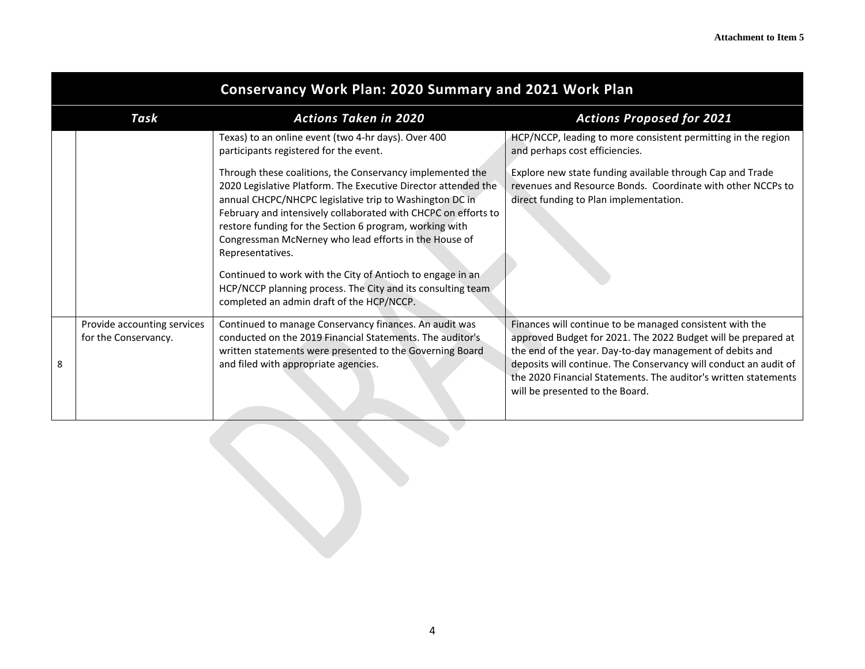|   | <b>Conservancy Work Plan: 2020 Summary and 2021 Work Plan</b>            |                                                                                                                                                                                                                                                                                                                                                                                                                                                                                                                                                                                                                                                                             |                                                                                                                                                                                                                                                                                                                                                                 |  |  |
|---|--------------------------------------------------------------------------|-----------------------------------------------------------------------------------------------------------------------------------------------------------------------------------------------------------------------------------------------------------------------------------------------------------------------------------------------------------------------------------------------------------------------------------------------------------------------------------------------------------------------------------------------------------------------------------------------------------------------------------------------------------------------------|-----------------------------------------------------------------------------------------------------------------------------------------------------------------------------------------------------------------------------------------------------------------------------------------------------------------------------------------------------------------|--|--|
|   | <b>Actions Taken in 2020</b><br>Task<br><b>Actions Proposed for 2021</b> |                                                                                                                                                                                                                                                                                                                                                                                                                                                                                                                                                                                                                                                                             |                                                                                                                                                                                                                                                                                                                                                                 |  |  |
|   |                                                                          | Texas) to an online event (two 4-hr days). Over 400<br>participants registered for the event.<br>Through these coalitions, the Conservancy implemented the<br>2020 Legislative Platform. The Executive Director attended the<br>annual CHCPC/NHCPC legislative trip to Washington DC in<br>February and intensively collaborated with CHCPC on efforts to<br>restore funding for the Section 6 program, working with<br>Congressman McNerney who lead efforts in the House of<br>Representatives.<br>Continued to work with the City of Antioch to engage in an<br>HCP/NCCP planning process. The City and its consulting team<br>completed an admin draft of the HCP/NCCP. | HCP/NCCP, leading to more consistent permitting in the region<br>and perhaps cost efficiencies.<br>Explore new state funding available through Cap and Trade<br>revenues and Resource Bonds. Coordinate with other NCCPs to<br>direct funding to Plan implementation.                                                                                           |  |  |
| 8 | Provide accounting services<br>for the Conservancy.                      | Continued to manage Conservancy finances. An audit was<br>conducted on the 2019 Financial Statements. The auditor's<br>written statements were presented to the Governing Board<br>and filed with appropriate agencies.                                                                                                                                                                                                                                                                                                                                                                                                                                                     | Finances will continue to be managed consistent with the<br>approved Budget for 2021. The 2022 Budget will be prepared at<br>the end of the year. Day-to-day management of debits and<br>deposits will continue. The Conservancy will conduct an audit of<br>the 2020 Financial Statements. The auditor's written statements<br>will be presented to the Board. |  |  |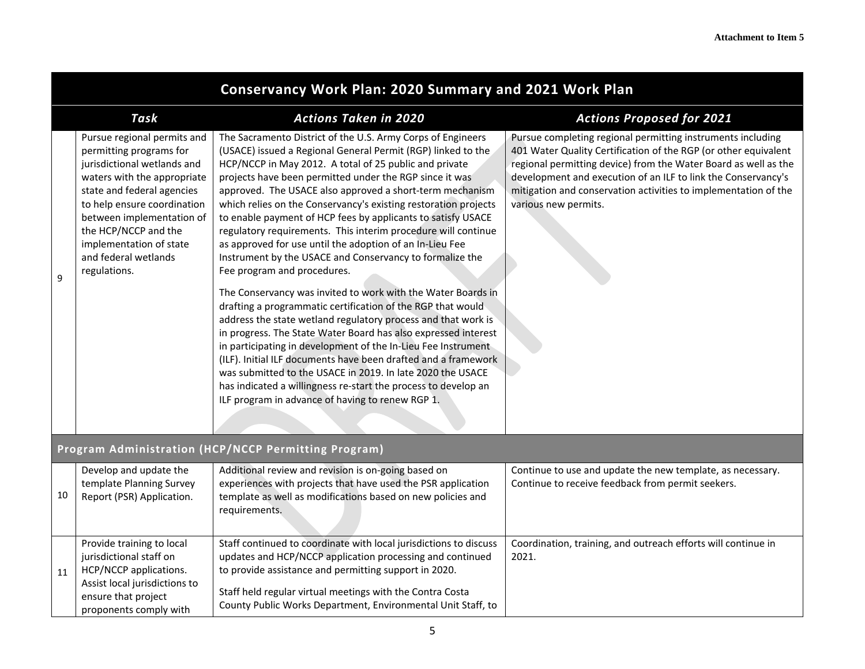|    | <b>Conservancy Work Plan: 2020 Summary and 2021 Work Plan</b>                                                                                                                                                                                                                                             |                                                                                                                                                                                                                                                                                                                                                                                                                                                                                                                                                                                                                                                                                                                                                                                                                                                                                                                                                                                                                                                                                                                                                                                                                                                                  |                                                                                                                                                                                                                                                                                                                                                               |  |
|----|-----------------------------------------------------------------------------------------------------------------------------------------------------------------------------------------------------------------------------------------------------------------------------------------------------------|------------------------------------------------------------------------------------------------------------------------------------------------------------------------------------------------------------------------------------------------------------------------------------------------------------------------------------------------------------------------------------------------------------------------------------------------------------------------------------------------------------------------------------------------------------------------------------------------------------------------------------------------------------------------------------------------------------------------------------------------------------------------------------------------------------------------------------------------------------------------------------------------------------------------------------------------------------------------------------------------------------------------------------------------------------------------------------------------------------------------------------------------------------------------------------------------------------------------------------------------------------------|---------------------------------------------------------------------------------------------------------------------------------------------------------------------------------------------------------------------------------------------------------------------------------------------------------------------------------------------------------------|--|
|    | Task                                                                                                                                                                                                                                                                                                      | <b>Actions Taken in 2020</b>                                                                                                                                                                                                                                                                                                                                                                                                                                                                                                                                                                                                                                                                                                                                                                                                                                                                                                                                                                                                                                                                                                                                                                                                                                     | <b>Actions Proposed for 2021</b>                                                                                                                                                                                                                                                                                                                              |  |
| 9  | Pursue regional permits and<br>permitting programs for<br>jurisdictional wetlands and<br>waters with the appropriate<br>state and federal agencies<br>to help ensure coordination<br>between implementation of<br>the HCP/NCCP and the<br>implementation of state<br>and federal wetlands<br>regulations. | The Sacramento District of the U.S. Army Corps of Engineers<br>(USACE) issued a Regional General Permit (RGP) linked to the<br>HCP/NCCP in May 2012. A total of 25 public and private<br>projects have been permitted under the RGP since it was<br>approved. The USACE also approved a short-term mechanism<br>which relies on the Conservancy's existing restoration projects<br>to enable payment of HCP fees by applicants to satisfy USACE<br>regulatory requirements. This interim procedure will continue<br>as approved for use until the adoption of an In-Lieu Fee<br>Instrument by the USACE and Conservancy to formalize the<br>Fee program and procedures.<br>The Conservancy was invited to work with the Water Boards in<br>drafting a programmatic certification of the RGP that would<br>address the state wetland regulatory process and that work is<br>in progress. The State Water Board has also expressed interest<br>in participating in development of the In-Lieu Fee Instrument<br>(ILF). Initial ILF documents have been drafted and a framework<br>was submitted to the USACE in 2019. In late 2020 the USACE<br>has indicated a willingness re-start the process to develop an<br>ILF program in advance of having to renew RGP 1. | Pursue completing regional permitting instruments including<br>401 Water Quality Certification of the RGP (or other equivalent<br>regional permitting device) from the Water Board as well as the<br>development and execution of an ILF to link the Conservancy's<br>mitigation and conservation activities to implementation of the<br>various new permits. |  |
|    |                                                                                                                                                                                                                                                                                                           | Program Administration (HCP/NCCP Permitting Program)                                                                                                                                                                                                                                                                                                                                                                                                                                                                                                                                                                                                                                                                                                                                                                                                                                                                                                                                                                                                                                                                                                                                                                                                             |                                                                                                                                                                                                                                                                                                                                                               |  |
| 10 | Develop and update the<br>template Planning Survey<br>Report (PSR) Application.                                                                                                                                                                                                                           | Additional review and revision is on-going based on<br>experiences with projects that have used the PSR application<br>template as well as modifications based on new policies and<br>requirements.                                                                                                                                                                                                                                                                                                                                                                                                                                                                                                                                                                                                                                                                                                                                                                                                                                                                                                                                                                                                                                                              | Continue to use and update the new template, as necessary.<br>Continue to receive feedback from permit seekers.                                                                                                                                                                                                                                               |  |
| 11 | Provide training to local<br>jurisdictional staff on<br>HCP/NCCP applications.                                                                                                                                                                                                                            | Staff continued to coordinate with local jurisdictions to discuss<br>updates and HCP/NCCP application processing and continued<br>to provide assistance and permitting support in 2020.                                                                                                                                                                                                                                                                                                                                                                                                                                                                                                                                                                                                                                                                                                                                                                                                                                                                                                                                                                                                                                                                          | Coordination, training, and outreach efforts will continue in<br>2021.                                                                                                                                                                                                                                                                                        |  |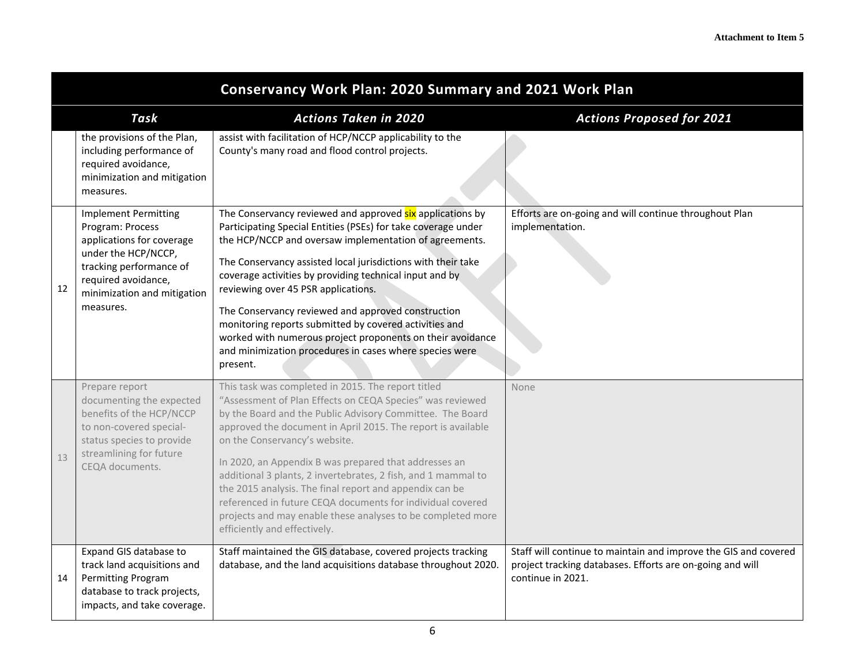|    | <b>Conservancy Work Plan: 2020 Summary and 2021 Work Plan</b>                                                                                                                                     |                                                                                                                                                                                                                                                                                                                                                                                                                                                                                                                                                                                                                                 |                                                                                                                                                   |  |
|----|---------------------------------------------------------------------------------------------------------------------------------------------------------------------------------------------------|---------------------------------------------------------------------------------------------------------------------------------------------------------------------------------------------------------------------------------------------------------------------------------------------------------------------------------------------------------------------------------------------------------------------------------------------------------------------------------------------------------------------------------------------------------------------------------------------------------------------------------|---------------------------------------------------------------------------------------------------------------------------------------------------|--|
|    | Task                                                                                                                                                                                              | <b>Actions Taken in 2020</b>                                                                                                                                                                                                                                                                                                                                                                                                                                                                                                                                                                                                    | <b>Actions Proposed for 2021</b>                                                                                                                  |  |
|    | the provisions of the Plan,<br>including performance of<br>required avoidance,<br>minimization and mitigation<br>measures.                                                                        | assist with facilitation of HCP/NCCP applicability to the<br>County's many road and flood control projects.                                                                                                                                                                                                                                                                                                                                                                                                                                                                                                                     |                                                                                                                                                   |  |
| 12 | <b>Implement Permitting</b><br>Program: Process<br>applications for coverage<br>under the HCP/NCCP,<br>tracking performance of<br>required avoidance,<br>minimization and mitigation<br>measures. | The Conservancy reviewed and approved six applications by<br>Participating Special Entities (PSEs) for take coverage under<br>the HCP/NCCP and oversaw implementation of agreements.<br>The Conservancy assisted local jurisdictions with their take<br>coverage activities by providing technical input and by<br>reviewing over 45 PSR applications.<br>The Conservancy reviewed and approved construction<br>monitoring reports submitted by covered activities and<br>worked with numerous project proponents on their avoidance<br>and minimization procedures in cases where species were<br>present.                     | Efforts are on-going and will continue throughout Plan<br>implementation.                                                                         |  |
| 13 | Prepare report<br>documenting the expected<br>benefits of the HCP/NCCP<br>to non-covered special-<br>status species to provide<br>streamlining for future<br>CEQA documents.                      | This task was completed in 2015. The report titled<br>"Assessment of Plan Effects on CEQA Species" was reviewed<br>by the Board and the Public Advisory Committee. The Board<br>approved the document in April 2015. The report is available<br>on the Conservancy's website.<br>In 2020, an Appendix B was prepared that addresses an<br>additional 3 plants, 2 invertebrates, 2 fish, and 1 mammal to<br>the 2015 analysis. The final report and appendix can be<br>referenced in future CEQA documents for individual covered<br>projects and may enable these analyses to be completed more<br>efficiently and effectively. | None                                                                                                                                              |  |
| 14 | Expand GIS database to<br>track land acquisitions and<br>Permitting Program<br>database to track projects,<br>impacts, and take coverage.                                                         | Staff maintained the GIS database, covered projects tracking<br>database, and the land acquisitions database throughout 2020.                                                                                                                                                                                                                                                                                                                                                                                                                                                                                                   | Staff will continue to maintain and improve the GIS and covered<br>project tracking databases. Efforts are on-going and will<br>continue in 2021. |  |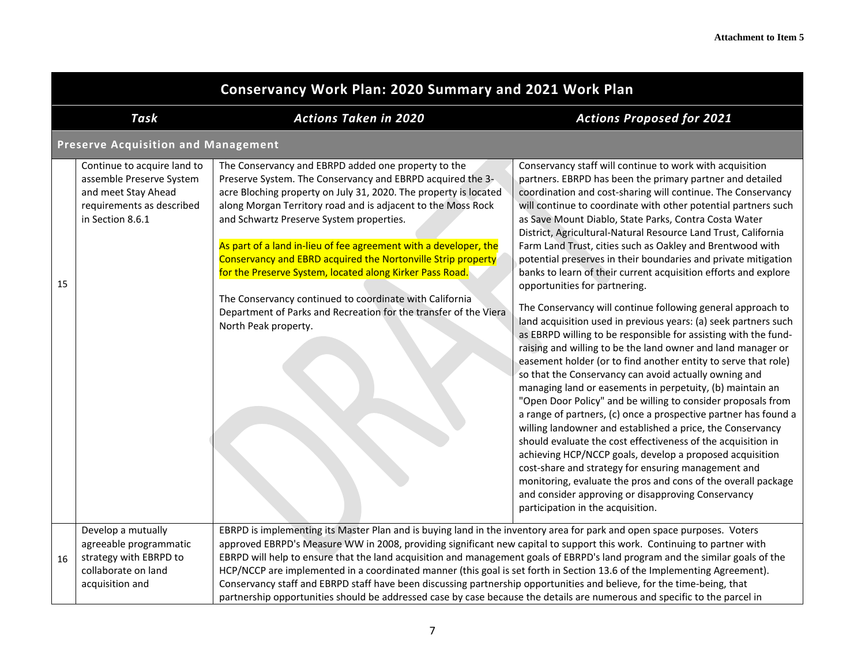|    | <b>Conservancy Work Plan: 2020 Summary and 2021 Work Plan</b>                                                                   |                                                                                                                                                                                                                                                                                                                                                                                                                                                                                                                                                                                                                                                                                                                                                                        |                                                                                                                                                                                                                                                                                                                                                                                                                                                                                                                                                                                                                                                                                                                                                                                                                                                                                                                                                                                                                                                                                                                                                                                                                                                                                                                                                                                                                                                                                                                                                                                                                                    |  |
|----|---------------------------------------------------------------------------------------------------------------------------------|------------------------------------------------------------------------------------------------------------------------------------------------------------------------------------------------------------------------------------------------------------------------------------------------------------------------------------------------------------------------------------------------------------------------------------------------------------------------------------------------------------------------------------------------------------------------------------------------------------------------------------------------------------------------------------------------------------------------------------------------------------------------|------------------------------------------------------------------------------------------------------------------------------------------------------------------------------------------------------------------------------------------------------------------------------------------------------------------------------------------------------------------------------------------------------------------------------------------------------------------------------------------------------------------------------------------------------------------------------------------------------------------------------------------------------------------------------------------------------------------------------------------------------------------------------------------------------------------------------------------------------------------------------------------------------------------------------------------------------------------------------------------------------------------------------------------------------------------------------------------------------------------------------------------------------------------------------------------------------------------------------------------------------------------------------------------------------------------------------------------------------------------------------------------------------------------------------------------------------------------------------------------------------------------------------------------------------------------------------------------------------------------------------------|--|
|    | Task                                                                                                                            | <b>Actions Taken in 2020</b>                                                                                                                                                                                                                                                                                                                                                                                                                                                                                                                                                                                                                                                                                                                                           | <b>Actions Proposed for 2021</b>                                                                                                                                                                                                                                                                                                                                                                                                                                                                                                                                                                                                                                                                                                                                                                                                                                                                                                                                                                                                                                                                                                                                                                                                                                                                                                                                                                                                                                                                                                                                                                                                   |  |
|    | <b>Preserve Acquisition and Management</b>                                                                                      |                                                                                                                                                                                                                                                                                                                                                                                                                                                                                                                                                                                                                                                                                                                                                                        |                                                                                                                                                                                                                                                                                                                                                                                                                                                                                                                                                                                                                                                                                                                                                                                                                                                                                                                                                                                                                                                                                                                                                                                                                                                                                                                                                                                                                                                                                                                                                                                                                                    |  |
| 15 | Continue to acquire land to<br>assemble Preserve System<br>and meet Stay Ahead<br>requirements as described<br>in Section 8.6.1 | The Conservancy and EBRPD added one property to the<br>Preserve System. The Conservancy and EBRPD acquired the 3-<br>acre Bloching property on July 31, 2020. The property is located<br>along Morgan Territory road and is adjacent to the Moss Rock<br>and Schwartz Preserve System properties.<br>As part of a land in-lieu of fee agreement with a developer, the<br>Conservancy and EBRD acquired the Nortonville Strip property<br>for the Preserve System, located along Kirker Pass Road.<br>The Conservancy continued to coordinate with California<br>Department of Parks and Recreation for the transfer of the Viera<br>North Peak property.                                                                                                               | Conservancy staff will continue to work with acquisition<br>partners. EBRPD has been the primary partner and detailed<br>coordination and cost-sharing will continue. The Conservancy<br>will continue to coordinate with other potential partners such<br>as Save Mount Diablo, State Parks, Contra Costa Water<br>District, Agricultural-Natural Resource Land Trust, California<br>Farm Land Trust, cities such as Oakley and Brentwood with<br>potential preserves in their boundaries and private mitigation<br>banks to learn of their current acquisition efforts and explore<br>opportunities for partnering.<br>The Conservancy will continue following general approach to<br>land acquisition used in previous years: (a) seek partners such<br>as EBRPD willing to be responsible for assisting with the fund-<br>raising and willing to be the land owner and land manager or<br>easement holder (or to find another entity to serve that role)<br>so that the Conservancy can avoid actually owning and<br>managing land or easements in perpetuity, (b) maintain an<br>"Open Door Policy" and be willing to consider proposals from<br>a range of partners, (c) once a prospective partner has found a<br>willing landowner and established a price, the Conservancy<br>should evaluate the cost effectiveness of the acquisition in<br>achieving HCP/NCCP goals, develop a proposed acquisition<br>cost-share and strategy for ensuring management and<br>monitoring, evaluate the pros and cons of the overall package<br>and consider approving or disapproving Conservancy<br>participation in the acquisition. |  |
| 16 | Develop a mutually<br>agreeable programmatic<br>strategy with EBRPD to<br>collaborate on land<br>acquisition and                | EBRPD is implementing its Master Plan and is buying land in the inventory area for park and open space purposes. Voters<br>approved EBRPD's Measure WW in 2008, providing significant new capital to support this work. Continuing to partner with<br>EBRPD will help to ensure that the land acquisition and management goals of EBRPD's land program and the similar goals of the<br>HCP/NCCP are implemented in a coordinated manner (this goal is set forth in Section 13.6 of the Implementing Agreement).<br>Conservancy staff and EBRPD staff have been discussing partnership opportunities and believe, for the time-being, that<br>partnership opportunities should be addressed case by case because the details are numerous and specific to the parcel in |                                                                                                                                                                                                                                                                                                                                                                                                                                                                                                                                                                                                                                                                                                                                                                                                                                                                                                                                                                                                                                                                                                                                                                                                                                                                                                                                                                                                                                                                                                                                                                                                                                    |  |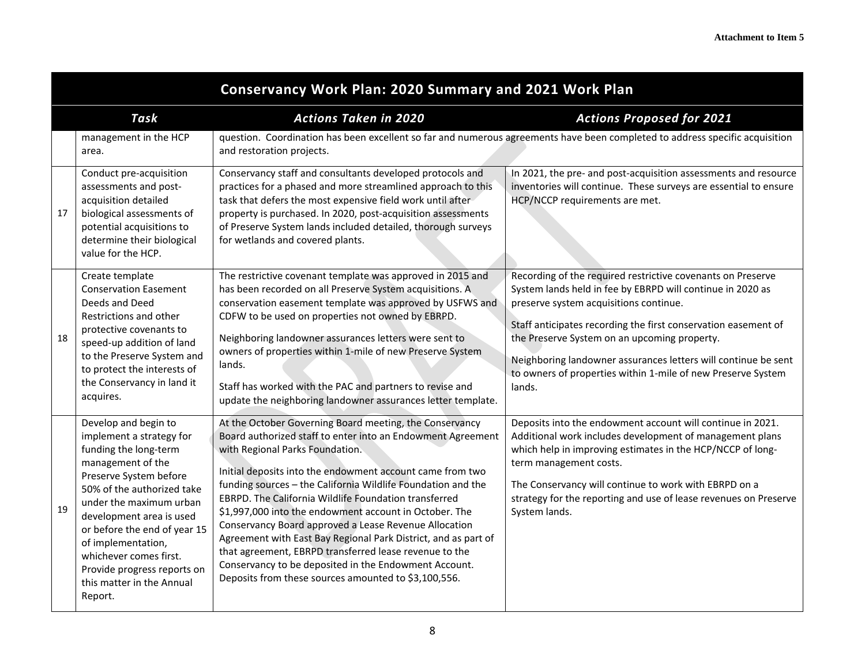|    | <b>Conservancy Work Plan: 2020 Summary and 2021 Work Plan</b>                                                                                                                                                                                                                                                                                                        |                                                                                                                                                                                                                                                                                                                                                                                                                                                                                                                                                                                                                                                                                                                 |                                                                                                                                                                                                                                                                                                                                                                                                                                   |  |
|----|----------------------------------------------------------------------------------------------------------------------------------------------------------------------------------------------------------------------------------------------------------------------------------------------------------------------------------------------------------------------|-----------------------------------------------------------------------------------------------------------------------------------------------------------------------------------------------------------------------------------------------------------------------------------------------------------------------------------------------------------------------------------------------------------------------------------------------------------------------------------------------------------------------------------------------------------------------------------------------------------------------------------------------------------------------------------------------------------------|-----------------------------------------------------------------------------------------------------------------------------------------------------------------------------------------------------------------------------------------------------------------------------------------------------------------------------------------------------------------------------------------------------------------------------------|--|
|    | Task                                                                                                                                                                                                                                                                                                                                                                 | <b>Actions Taken in 2020</b>                                                                                                                                                                                                                                                                                                                                                                                                                                                                                                                                                                                                                                                                                    | <b>Actions Proposed for 2021</b>                                                                                                                                                                                                                                                                                                                                                                                                  |  |
|    | management in the HCP<br>area.                                                                                                                                                                                                                                                                                                                                       | and restoration projects.                                                                                                                                                                                                                                                                                                                                                                                                                                                                                                                                                                                                                                                                                       | question. Coordination has been excellent so far and numerous agreements have been completed to address specific acquisition                                                                                                                                                                                                                                                                                                      |  |
| 17 | Conduct pre-acquisition<br>assessments and post-<br>acquisition detailed<br>biological assessments of<br>potential acquisitions to<br>determine their biological<br>value for the HCP.                                                                                                                                                                               | Conservancy staff and consultants developed protocols and<br>practices for a phased and more streamlined approach to this<br>task that defers the most expensive field work until after<br>property is purchased. In 2020, post-acquisition assessments<br>of Preserve System lands included detailed, thorough surveys<br>for wetlands and covered plants.                                                                                                                                                                                                                                                                                                                                                     | In 2021, the pre- and post-acquisition assessments and resource<br>inventories will continue. These surveys are essential to ensure<br>HCP/NCCP requirements are met.                                                                                                                                                                                                                                                             |  |
| 18 | Create template<br><b>Conservation Easement</b><br>Deeds and Deed<br>Restrictions and other<br>protective covenants to<br>speed-up addition of land<br>to the Preserve System and<br>to protect the interests of<br>the Conservancy in land it<br>acquires.                                                                                                          | The restrictive covenant template was approved in 2015 and<br>has been recorded on all Preserve System acquisitions. A<br>conservation easement template was approved by USFWS and<br>CDFW to be used on properties not owned by EBRPD.<br>Neighboring landowner assurances letters were sent to<br>owners of properties within 1-mile of new Preserve System<br>lands.<br>Staff has worked with the PAC and partners to revise and<br>update the neighboring landowner assurances letter template.                                                                                                                                                                                                             | Recording of the required restrictive covenants on Preserve<br>System lands held in fee by EBRPD will continue in 2020 as<br>preserve system acquisitions continue.<br>Staff anticipates recording the first conservation easement of<br>the Preserve System on an upcoming property.<br>Neighboring landowner assurances letters will continue be sent<br>to owners of properties within 1-mile of new Preserve System<br>lands. |  |
| 19 | Develop and begin to<br>implement a strategy for<br>funding the long-term<br>management of the<br>Preserve System before<br>50% of the authorized take<br>under the maximum urban<br>development area is used<br>or before the end of year 15<br>of implementation,<br>whichever comes first.<br>Provide progress reports on<br>this matter in the Annual<br>Report. | At the October Governing Board meeting, the Conservancy<br>Board authorized staff to enter into an Endowment Agreement<br>with Regional Parks Foundation.<br>Initial deposits into the endowment account came from two<br>funding sources - the California Wildlife Foundation and the<br>EBRPD. The California Wildlife Foundation transferred<br>\$1,997,000 into the endowment account in October. The<br>Conservancy Board approved a Lease Revenue Allocation<br>Agreement with East Bay Regional Park District, and as part of<br>that agreement, EBRPD transferred lease revenue to the<br>Conservancy to be deposited in the Endowment Account.<br>Deposits from these sources amounted to \$3,100,556. | Deposits into the endowment account will continue in 2021.<br>Additional work includes development of management plans<br>which help in improving estimates in the HCP/NCCP of long-<br>term management costs.<br>The Conservancy will continue to work with EBRPD on a<br>strategy for the reporting and use of lease revenues on Preserve<br>System lands.                                                                      |  |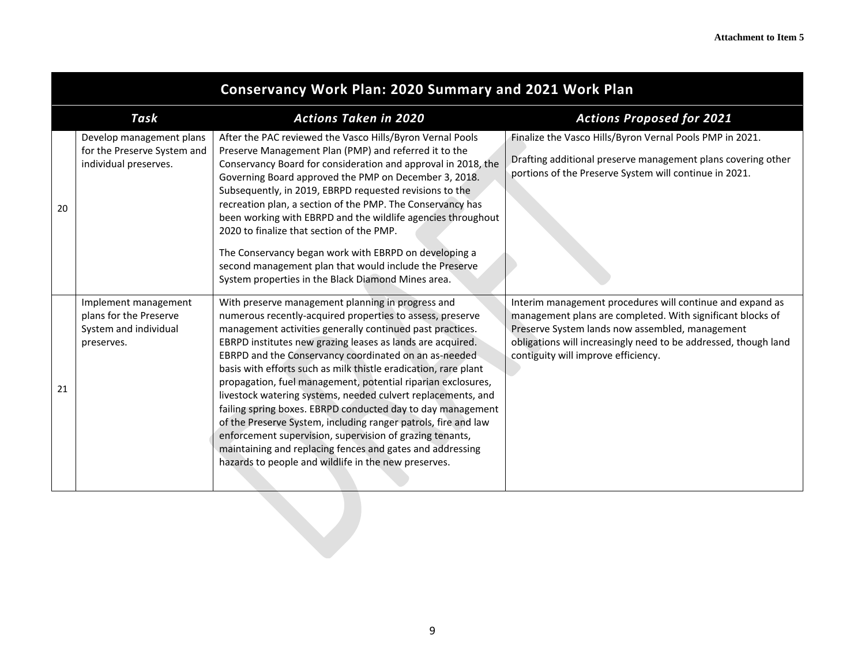|    | <b>Conservancy Work Plan: 2020 Summary and 2021 Work Plan</b>                         |                                                                                                                                                                                                                                                                                                                                                                                                                                                                                                                                                                                                                                                                                                                                                                                                                         |                                                                                                                                                                                                                                                                                      |  |
|----|---------------------------------------------------------------------------------------|-------------------------------------------------------------------------------------------------------------------------------------------------------------------------------------------------------------------------------------------------------------------------------------------------------------------------------------------------------------------------------------------------------------------------------------------------------------------------------------------------------------------------------------------------------------------------------------------------------------------------------------------------------------------------------------------------------------------------------------------------------------------------------------------------------------------------|--------------------------------------------------------------------------------------------------------------------------------------------------------------------------------------------------------------------------------------------------------------------------------------|--|
|    | Task                                                                                  | <b>Actions Taken in 2020</b>                                                                                                                                                                                                                                                                                                                                                                                                                                                                                                                                                                                                                                                                                                                                                                                            | <b>Actions Proposed for 2021</b>                                                                                                                                                                                                                                                     |  |
| 20 | Develop management plans<br>for the Preserve System and<br>individual preserves.      | After the PAC reviewed the Vasco Hills/Byron Vernal Pools<br>Preserve Management Plan (PMP) and referred it to the<br>Conservancy Board for consideration and approval in 2018, the<br>Governing Board approved the PMP on December 3, 2018.<br>Subsequently, in 2019, EBRPD requested revisions to the<br>recreation plan, a section of the PMP. The Conservancy has<br>been working with EBRPD and the wildlife agencies throughout<br>2020 to finalize that section of the PMP.<br>The Conservancy began work with EBRPD on developing a<br>second management plan that would include the Preserve<br>System properties in the Black Diamond Mines area.                                                                                                                                                             | Finalize the Vasco Hills/Byron Vernal Pools PMP in 2021.<br>Drafting additional preserve management plans covering other<br>portions of the Preserve System will continue in 2021.                                                                                                   |  |
| 21 | Implement management<br>plans for the Preserve<br>System and individual<br>preserves. | With preserve management planning in progress and<br>numerous recently-acquired properties to assess, preserve<br>management activities generally continued past practices.<br>EBRPD institutes new grazing leases as lands are acquired.<br>EBRPD and the Conservancy coordinated on an as-needed<br>basis with efforts such as milk thistle eradication, rare plant<br>propagation, fuel management, potential riparian exclosures,<br>livestock watering systems, needed culvert replacements, and<br>failing spring boxes. EBRPD conducted day to day management<br>of the Preserve System, including ranger patrols, fire and law<br>enforcement supervision, supervision of grazing tenants,<br>maintaining and replacing fences and gates and addressing<br>hazards to people and wildlife in the new preserves. | Interim management procedures will continue and expand as<br>management plans are completed. With significant blocks of<br>Preserve System lands now assembled, management<br>obligations will increasingly need to be addressed, though land<br>contiguity will improve efficiency. |  |
|    |                                                                                       |                                                                                                                                                                                                                                                                                                                                                                                                                                                                                                                                                                                                                                                                                                                                                                                                                         |                                                                                                                                                                                                                                                                                      |  |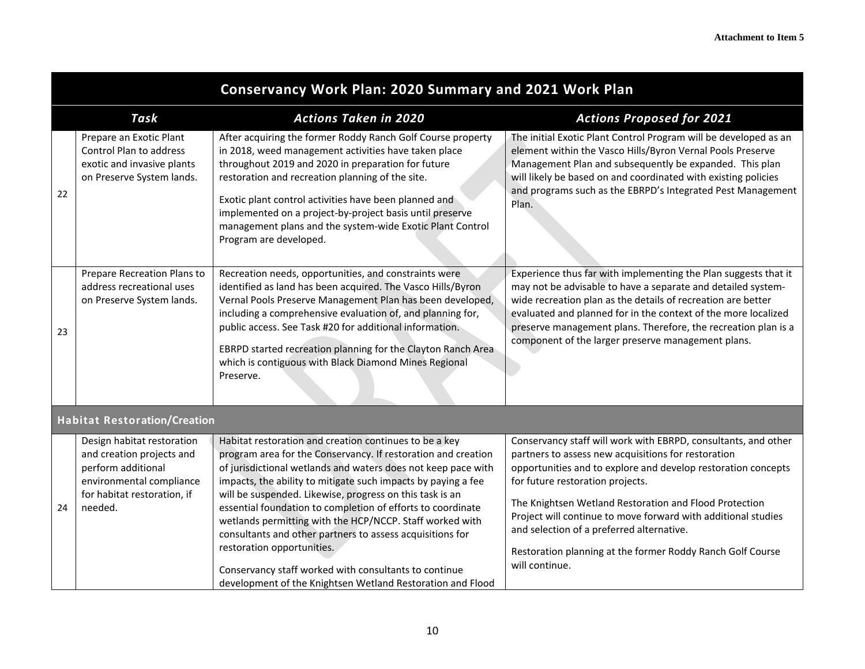|    | <b>Conservancy Work Plan: 2020 Summary and 2021 Work Plan</b>                                                                                       |                                                                                                                                                                                                                                                                                                                                                                                                                                                                                                                                                                                                                                                                    |                                                                                                                                                                                                                                                                                                                                                                                                                                                                                    |  |
|----|-----------------------------------------------------------------------------------------------------------------------------------------------------|--------------------------------------------------------------------------------------------------------------------------------------------------------------------------------------------------------------------------------------------------------------------------------------------------------------------------------------------------------------------------------------------------------------------------------------------------------------------------------------------------------------------------------------------------------------------------------------------------------------------------------------------------------------------|------------------------------------------------------------------------------------------------------------------------------------------------------------------------------------------------------------------------------------------------------------------------------------------------------------------------------------------------------------------------------------------------------------------------------------------------------------------------------------|--|
|    | Task                                                                                                                                                | <b>Actions Taken in 2020</b>                                                                                                                                                                                                                                                                                                                                                                                                                                                                                                                                                                                                                                       | <b>Actions Proposed for 2021</b>                                                                                                                                                                                                                                                                                                                                                                                                                                                   |  |
| 22 | Prepare an Exotic Plant<br>Control Plan to address<br>exotic and invasive plants<br>on Preserve System lands.                                       | After acquiring the former Roddy Ranch Golf Course property<br>in 2018, weed management activities have taken place<br>throughout 2019 and 2020 in preparation for future<br>restoration and recreation planning of the site.<br>Exotic plant control activities have been planned and<br>implemented on a project-by-project basis until preserve<br>management plans and the system-wide Exotic Plant Control<br>Program are developed.                                                                                                                                                                                                                          | The initial Exotic Plant Control Program will be developed as an<br>element within the Vasco Hills/Byron Vernal Pools Preserve<br>Management Plan and subsequently be expanded. This plan<br>will likely be based on and coordinated with existing policies<br>and programs such as the EBRPD's Integrated Pest Management<br>Plan.                                                                                                                                                |  |
| 23 | Prepare Recreation Plans to<br>address recreational uses<br>on Preserve System lands.                                                               | Recreation needs, opportunities, and constraints were<br>identified as land has been acquired. The Vasco Hills/Byron<br>Vernal Pools Preserve Management Plan has been developed,<br>including a comprehensive evaluation of, and planning for,<br>public access. See Task #20 for additional information.<br>EBRPD started recreation planning for the Clayton Ranch Area<br>which is contiguous with Black Diamond Mines Regional<br>Preserve.                                                                                                                                                                                                                   | Experience thus far with implementing the Plan suggests that it<br>may not be advisable to have a separate and detailed system-<br>wide recreation plan as the details of recreation are better<br>evaluated and planned for in the context of the more localized<br>preserve management plans. Therefore, the recreation plan is a<br>component of the larger preserve management plans.                                                                                          |  |
|    | <b>Habitat Restoration/Creation</b>                                                                                                                 |                                                                                                                                                                                                                                                                                                                                                                                                                                                                                                                                                                                                                                                                    |                                                                                                                                                                                                                                                                                                                                                                                                                                                                                    |  |
| 24 | Design habitat restoration<br>and creation projects and<br>perform additional<br>environmental compliance<br>for habitat restoration, if<br>needed. | Habitat restoration and creation continues to be a key<br>program area for the Conservancy. If restoration and creation<br>of jurisdictional wetlands and waters does not keep pace with<br>impacts, the ability to mitigate such impacts by paying a fee<br>will be suspended. Likewise, progress on this task is an<br>essential foundation to completion of efforts to coordinate<br>wetlands permitting with the HCP/NCCP. Staff worked with<br>consultants and other partners to assess acquisitions for<br>restoration opportunities.<br>Conservancy staff worked with consultants to continue<br>development of the Knightsen Wetland Restoration and Flood | Conservancy staff will work with EBRPD, consultants, and other<br>partners to assess new acquisitions for restoration<br>opportunities and to explore and develop restoration concepts<br>for future restoration projects.<br>The Knightsen Wetland Restoration and Flood Protection<br>Project will continue to move forward with additional studies<br>and selection of a preferred alternative.<br>Restoration planning at the former Roddy Ranch Golf Course<br>will continue. |  |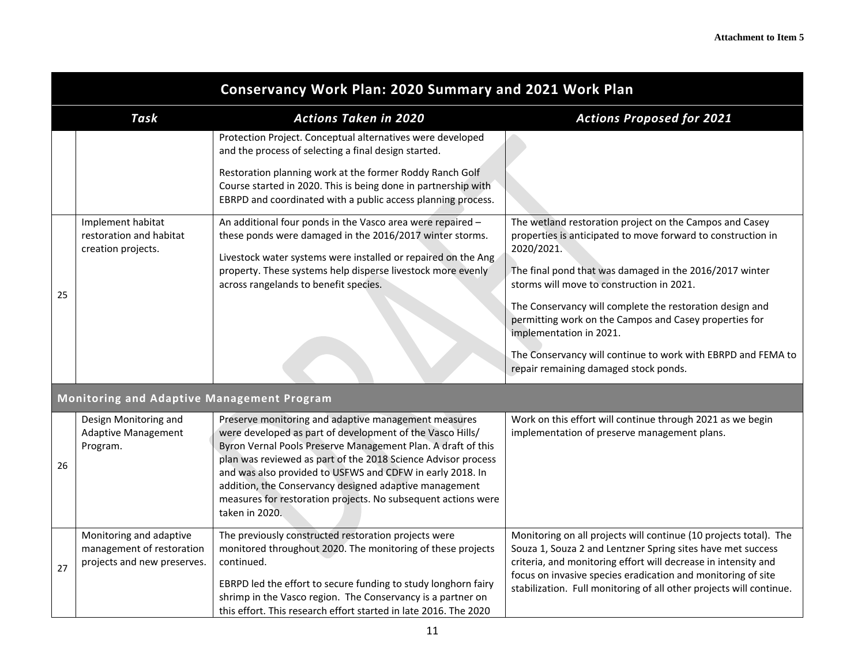|    | <b>Conservancy Work Plan: 2020 Summary and 2021 Work Plan</b>                       |                                                                                                                                                                                                                                                                                                                                                                                                                                                              |                                                                                                                                                                                                                                                                                                                                           |  |
|----|-------------------------------------------------------------------------------------|--------------------------------------------------------------------------------------------------------------------------------------------------------------------------------------------------------------------------------------------------------------------------------------------------------------------------------------------------------------------------------------------------------------------------------------------------------------|-------------------------------------------------------------------------------------------------------------------------------------------------------------------------------------------------------------------------------------------------------------------------------------------------------------------------------------------|--|
|    | <b>Task</b>                                                                         | <b>Actions Taken in 2020</b>                                                                                                                                                                                                                                                                                                                                                                                                                                 | <b>Actions Proposed for 2021</b>                                                                                                                                                                                                                                                                                                          |  |
|    |                                                                                     | Protection Project. Conceptual alternatives were developed<br>and the process of selecting a final design started.                                                                                                                                                                                                                                                                                                                                           |                                                                                                                                                                                                                                                                                                                                           |  |
|    |                                                                                     | Restoration planning work at the former Roddy Ranch Golf<br>Course started in 2020. This is being done in partnership with<br>EBRPD and coordinated with a public access planning process.                                                                                                                                                                                                                                                                   |                                                                                                                                                                                                                                                                                                                                           |  |
|    | Implement habitat<br>restoration and habitat<br>creation projects.                  | An additional four ponds in the Vasco area were repaired -<br>these ponds were damaged in the 2016/2017 winter storms.<br>Livestock water systems were installed or repaired on the Ang<br>property. These systems help disperse livestock more evenly                                                                                                                                                                                                       | The wetland restoration project on the Campos and Casey<br>properties is anticipated to move forward to construction in<br>2020/2021.<br>The final pond that was damaged in the 2016/2017 winter                                                                                                                                          |  |
| 25 |                                                                                     | across rangelands to benefit species.                                                                                                                                                                                                                                                                                                                                                                                                                        | storms will move to construction in 2021.<br>The Conservancy will complete the restoration design and<br>permitting work on the Campos and Casey properties for<br>implementation in 2021.                                                                                                                                                |  |
|    |                                                                                     |                                                                                                                                                                                                                                                                                                                                                                                                                                                              | The Conservancy will continue to work with EBRPD and FEMA to<br>repair remaining damaged stock ponds.                                                                                                                                                                                                                                     |  |
|    | Monitoring and Adaptive Management Program                                          |                                                                                                                                                                                                                                                                                                                                                                                                                                                              |                                                                                                                                                                                                                                                                                                                                           |  |
| 26 | Design Monitoring and<br><b>Adaptive Management</b><br>Program.                     | Preserve monitoring and adaptive management measures<br>were developed as part of development of the Vasco Hills/<br>Byron Vernal Pools Preserve Management Plan. A draft of this<br>plan was reviewed as part of the 2018 Science Advisor process<br>and was also provided to USFWS and CDFW in early 2018. In<br>addition, the Conservancy designed adaptive management<br>measures for restoration projects. No subsequent actions were<br>taken in 2020. | Work on this effort will continue through 2021 as we begin<br>implementation of preserve management plans.                                                                                                                                                                                                                                |  |
| 27 | Monitoring and adaptive<br>management of restoration<br>projects and new preserves. | The previously constructed restoration projects were<br>monitored throughout 2020. The monitoring of these projects<br>continued.<br>EBRPD led the effort to secure funding to study longhorn fairy<br>shrimp in the Vasco region. The Conservancy is a partner on                                                                                                                                                                                           | Monitoring on all projects will continue (10 projects total). The<br>Souza 1, Souza 2 and Lentzner Spring sites have met success<br>criteria, and monitoring effort will decrease in intensity and<br>focus on invasive species eradication and monitoring of site<br>stabilization. Full monitoring of all other projects will continue. |  |
|    |                                                                                     | this effort. This research effort started in late 2016. The 2020                                                                                                                                                                                                                                                                                                                                                                                             |                                                                                                                                                                                                                                                                                                                                           |  |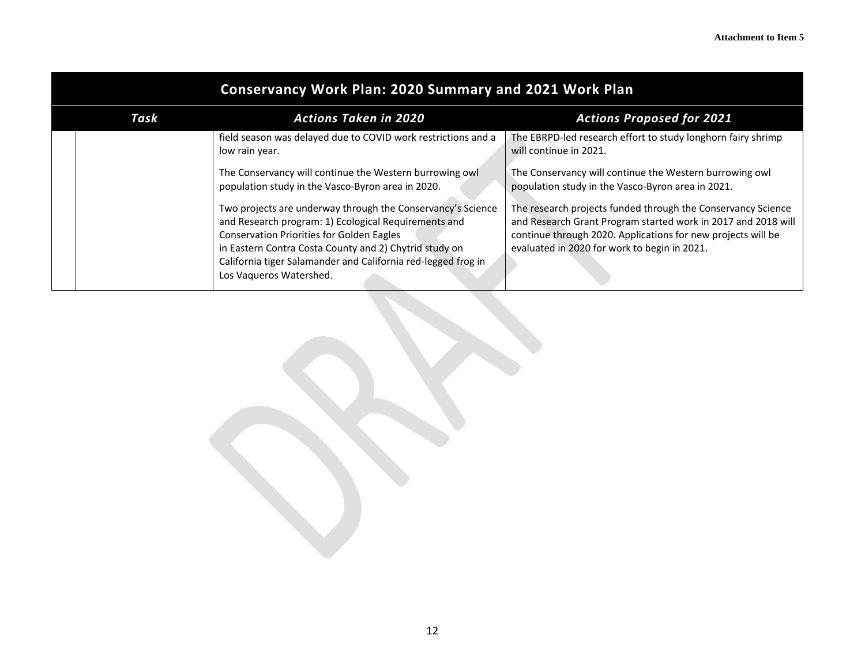| <b>Conservancy Work Plan: 2020 Summary and 2021 Work Plan</b> |                                                                                                                                                                                                                                                                                                                               |                                                                                                                                                                                                                                               |  |  |  |  |
|---------------------------------------------------------------|-------------------------------------------------------------------------------------------------------------------------------------------------------------------------------------------------------------------------------------------------------------------------------------------------------------------------------|-----------------------------------------------------------------------------------------------------------------------------------------------------------------------------------------------------------------------------------------------|--|--|--|--|
| Task                                                          | <b>Actions Taken in 2020</b>                                                                                                                                                                                                                                                                                                  | <b>Actions Proposed for 2021</b>                                                                                                                                                                                                              |  |  |  |  |
|                                                               | field season was delayed due to COVID work restrictions and a<br>low rain year.                                                                                                                                                                                                                                               | The EBRPD-led research effort to study longhorn fairy shrimp<br>will continue in 2021.                                                                                                                                                        |  |  |  |  |
|                                                               | The Conservancy will continue the Western burrowing owl<br>population study in the Vasco-Byron area in 2020.                                                                                                                                                                                                                  | The Conservancy will continue the Western burrowing owl<br>population study in the Vasco-Byron area in 2021.                                                                                                                                  |  |  |  |  |
|                                                               | Two projects are underway through the Conservancy's Science<br>and Research program: 1) Ecological Requirements and<br><b>Conservation Priorities for Golden Eagles</b><br>in Eastern Contra Costa County and 2) Chytrid study on<br>California tiger Salamander and California red-legged frog in<br>Los Vaqueros Watershed. | The research projects funded through the Conservancy Science<br>and Research Grant Program started work in 2017 and 2018 will<br>continue through 2020. Applications for new projects will be<br>evaluated in 2020 for work to begin in 2021. |  |  |  |  |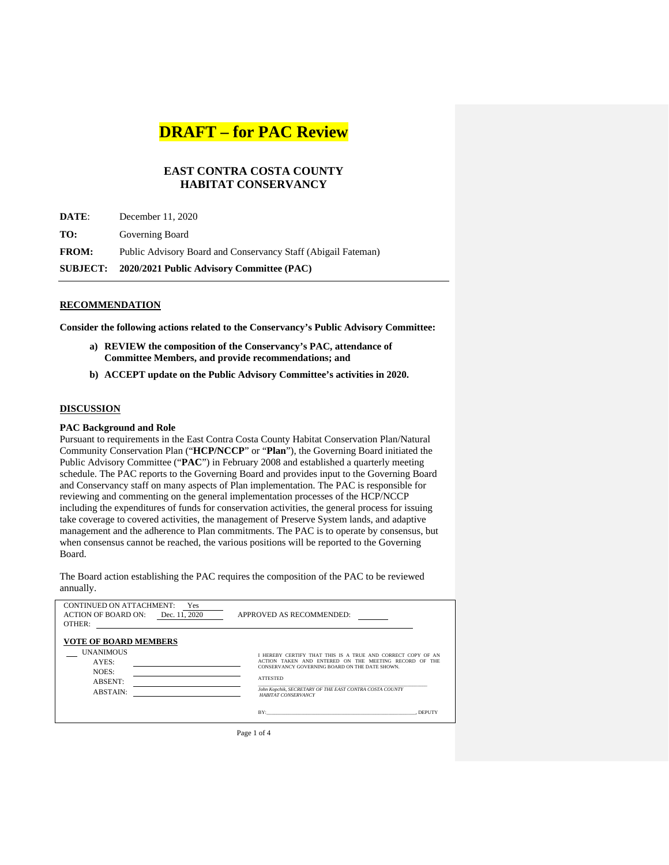### **EAST CONTRA COSTA COUNTY HABITAT CONSERVANCY**

|              | SUBJECT: 2020/2021 Public Advisory Committee (PAC)            |
|--------------|---------------------------------------------------------------|
| <b>FROM:</b> | Public Advisory Board and Conservancy Staff (Abigail Fateman) |
| TO:          | Governing Board                                               |
| DATE:        | December 11, 2020                                             |

#### **RECOMMENDATION**

**Consider the following actions related to the Conservancy's Public Advisory Committee:**

- **a) REVIEW the composition of the Conservancy's PAC, attendance of Committee Members, and provide recommendations; and**
- **b) ACCEPT update on the Public Advisory Committee's activities in 2020.**

#### **DISCUSSION**

#### **PAC Background and Role**

Pursuant to requirements in the East Contra Costa County Habitat Conservation Plan/Natural Community Conservation Plan ("**HCP/NCCP**" or "**Plan**"), the Governing Board initiated the Public Advisory Committee ("**PAC**") in February 2008 and established a quarterly meeting schedule. The PAC reports to the Governing Board and provides input to the Governing Board and Conservancy staff on many aspects of Plan implementation. The PAC is responsible for reviewing and commenting on the general implementation processes of the HCP/NCCP including the expenditures of funds for conservation activities, the general process for issuing take coverage to covered activities, the management of Preserve System lands, and adaptive management and the adherence to Plan commitments. The PAC is to operate by consensus, but when consensus cannot be reached, the various positions will be reported to the Governing Board.

The Board action establishing the PAC requires the composition of the PAC to be reviewed annually.

| <b>CONTINUED ON ATTACHMENT:</b><br>Yes<br><b>ACTION OF BOARD ON:</b><br>Dec. 11, 2020<br>OTHER:         | APPROVED AS RECOMMENDED:                                                                                                                                                                                                                                                                            |
|---------------------------------------------------------------------------------------------------------|-----------------------------------------------------------------------------------------------------------------------------------------------------------------------------------------------------------------------------------------------------------------------------------------------------|
| <b>VOTE OF BOARD MEMBERS</b><br><b>UNANIMOUS</b><br>AYES:<br>NOES:<br><b>ABSENT:</b><br><b>ABSTAIN:</b> | I HEREBY CERTIFY THAT THIS IS A TRUE AND CORRECT COPY OF AN<br>ACTION TAKEN AND ENTERED ON THE MEETING RECORD OF THE<br>CONSERVANCY GOVERNING BOARD ON THE DATE SHOWN.<br><b>ATTESTED</b><br>John Kopchik, SECRETARY OF THE EAST CONTRA COSTA COUNTY<br><b>HABITAT CONSERVANCY</b><br>BY:<br>DEPUTY |

Page 1 of 4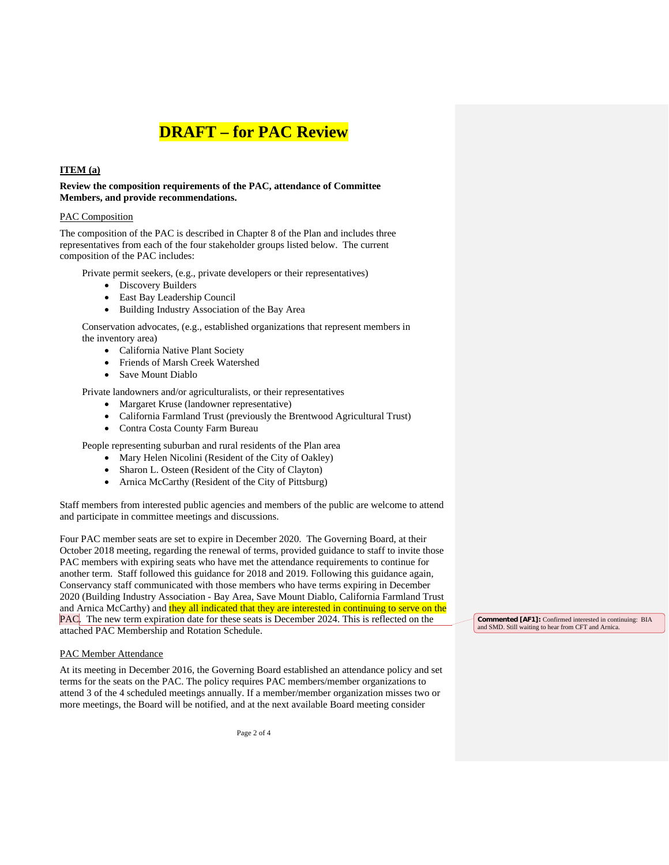#### **ITEM (a)**

**Review the composition requirements of the PAC, attendance of Committee Members, and provide recommendations.**

#### PAC Composition

The composition of the PAC is described in Chapter 8 of the Plan and includes three representatives from each of the four stakeholder groups listed below. The current composition of the PAC includes:

Private permit seekers, (e.g., private developers or their representatives)

- Discovery Builders
- East Bay Leadership Council
- Building Industry Association of the Bay Area

Conservation advocates, (e.g., established organizations that represent members in the inventory area)

- California Native Plant Society
- Friends of Marsh Creek Watershed
- Save Mount Diablo

Private landowners and/or agriculturalists, or their representatives

- Margaret Kruse (landowner representative)
- California Farmland Trust (previously the Brentwood Agricultural Trust)
- Contra Costa County Farm Bureau

People representing suburban and rural residents of the Plan area

- Mary Helen Nicolini (Resident of the City of Oakley)
- Sharon L. Osteen (Resident of the City of Clayton)
- Arnica McCarthy (Resident of the City of Pittsburg)

Staff members from interested public agencies and members of the public are welcome to attend and participate in committee meetings and discussions.

Four PAC member seats are set to expire in December 2020. The Governing Board, at their October 2018 meeting, regarding the renewal of terms, provided guidance to staff to invite those PAC members with expiring seats who have met the attendance requirements to continue for another term. Staff followed this guidance for 2018 and 2019. Following this guidance again, Conservancy staff communicated with those members who have terms expiring in December 2020 (Building Industry Association - Bay Area, Save Mount Diablo, California Farmland Trust and Arnica McCarthy) and they all indicated that they are interested in continuing to serve on the PAC. The new term expiration date for these seats is December 2024. This is reflected on the attached PAC Membership and Rotation Schedule.

#### PAC Member Attendance

At its meeting in December 2016, the Governing Board established an attendance policy and set terms for the seats on the PAC. The policy requires PAC members/member organizations to attend 3 of the 4 scheduled meetings annually. If a member/member organization misses two or more meetings, the Board will be notified, and at the next available Board meeting consider

Page 2 of 4

**Commented [AF1]:** Confirmed interested in continuing: BIA and SMD. Still waiting to hear from CFT and Arnica.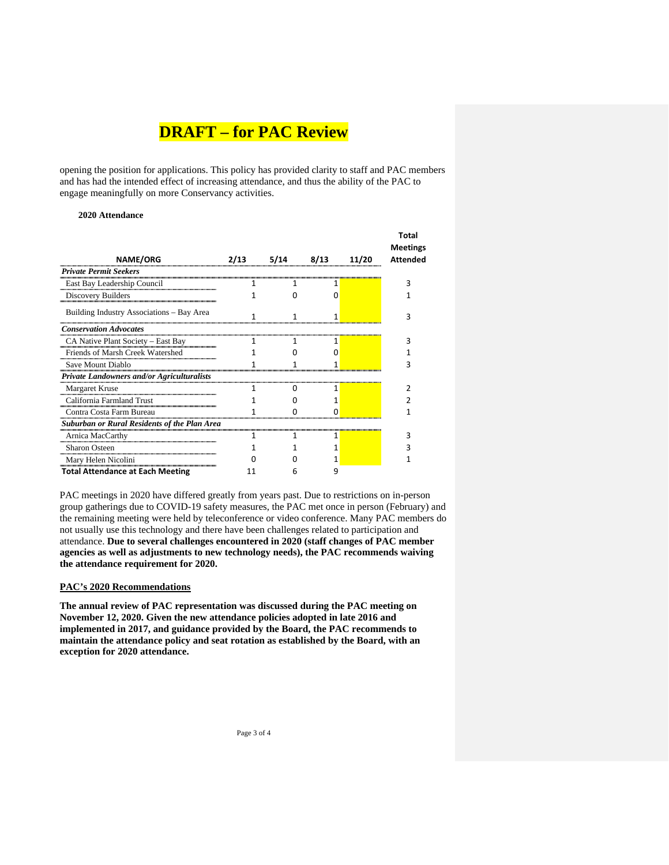opening the position for applications. This policy has provided clarity to staff and PAC members and has had the intended effect of increasing attendance, and thus the ability of the PAC to engage meaningfully on more Conservancy activities.

#### **2020 Attendance**

|                                                     |      |      |      |       | <b>Total</b><br><b>Meetings</b> |
|-----------------------------------------------------|------|------|------|-------|---------------------------------|
| <b>NAME/ORG</b>                                     | 2/13 | 5/14 | 8/13 | 11/20 | <b>Attended</b>                 |
| <b>Private Permit Seekers</b>                       |      |      |      |       |                                 |
| East Bay Leadership Council                         | 1    | 1    | 1    |       | 3                               |
| Discovery Builders                                  |      |      | O    |       |                                 |
| Building Industry Associations - Bay Area           | 1    | 1    | 1    |       | 3                               |
| <b>Conservation Advocates</b>                       |      |      |      |       |                                 |
| CA Native Plant Society – East Bay                  | 1    | 1    | 1    |       | 3                               |
| Friends of Marsh Creek Watershed                    |      |      | 0    |       |                                 |
| Save Mount Diablo                                   |      | 1    | 1    |       | 3                               |
| <b>Private Landowners and/or Agriculturalists</b>   |      |      |      |       |                                 |
| Margaret Kruse                                      | 1    | n    | 1    |       |                                 |
| California Farmland Trust                           |      |      |      |       |                                 |
| Contra Costa Farm Bureau                            |      | O    | 0    |       | 1                               |
| <b>Suburban or Rural Residents of the Plan Area</b> |      |      |      |       |                                 |
| Arnica MacCarthy                                    | 1    | 1    | 1    |       | 3                               |
| <b>Sharon Osteen</b>                                |      |      |      |       |                                 |
| Mary Helen Nicolini                                 |      |      | 1    |       |                                 |
| <b>Total Attendance at Each Meeting</b>             | 11   | 6    | 9    |       |                                 |

PAC meetings in 2020 have differed greatly from years past. Due to restrictions on in-person group gatherings due to COVID-19 safety measures, the PAC met once in person (February) and the remaining meeting were held by teleconference or video conference. Many PAC members do not usually use this technology and there have been challenges related to participation and attendance. **Due to several challenges encountered in 2020 (staff changes of PAC member agencies as well as adjustments to new technology needs), the PAC recommends waiving the attendance requirement for 2020.**

#### **PAC's 2020 Recommendations**

**The annual review of PAC representation was discussed during the PAC meeting on November 12, 2020. Given the new attendance policies adopted in late 2016 and implemented in 2017, and guidance provided by the Board, the PAC recommends to maintain the attendance policy and seat rotation as established by the Board, with an exception for 2020 attendance.**

Page 3 of 4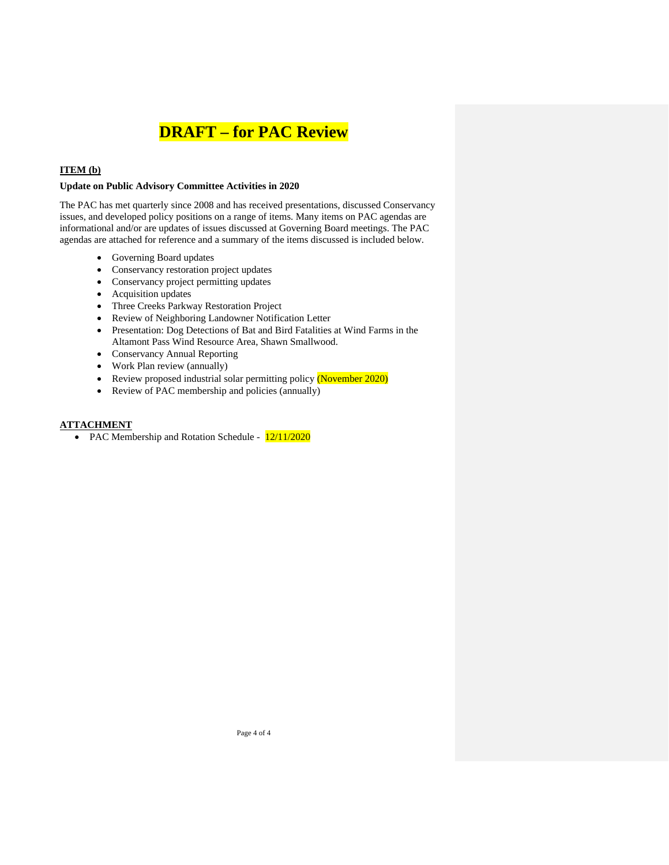#### **ITEM (b)**

#### **Update on Public Advisory Committee Activities in 2020**

The PAC has met quarterly since 2008 and has received presentations, discussed Conservancy issues, and developed policy positions on a range of items. Many items on PAC agendas are informational and/or are updates of issues discussed at Governing Board meetings. The PAC agendas are attached for reference and a summary of the items discussed is included below.

- Governing Board updates
- Conservancy restoration project updates
- Conservancy project permitting updates
- Acquisition updates
- Three Creeks Parkway Restoration Project
- Review of Neighboring Landowner Notification Letter
- Presentation: Dog Detections of Bat and Bird Fatalities at Wind Farms in the Altamont Pass Wind Resource Area, Shawn Smallwood.
- Conservancy Annual Reporting
- Work Plan review (annually)
- Review proposed industrial solar permitting policy (November 2020)
- Review of PAC membership and policies (annually)

#### **ATTACHMENT**

• PAC Membership and Rotation Schedule -  $\frac{12}{11/2020}$